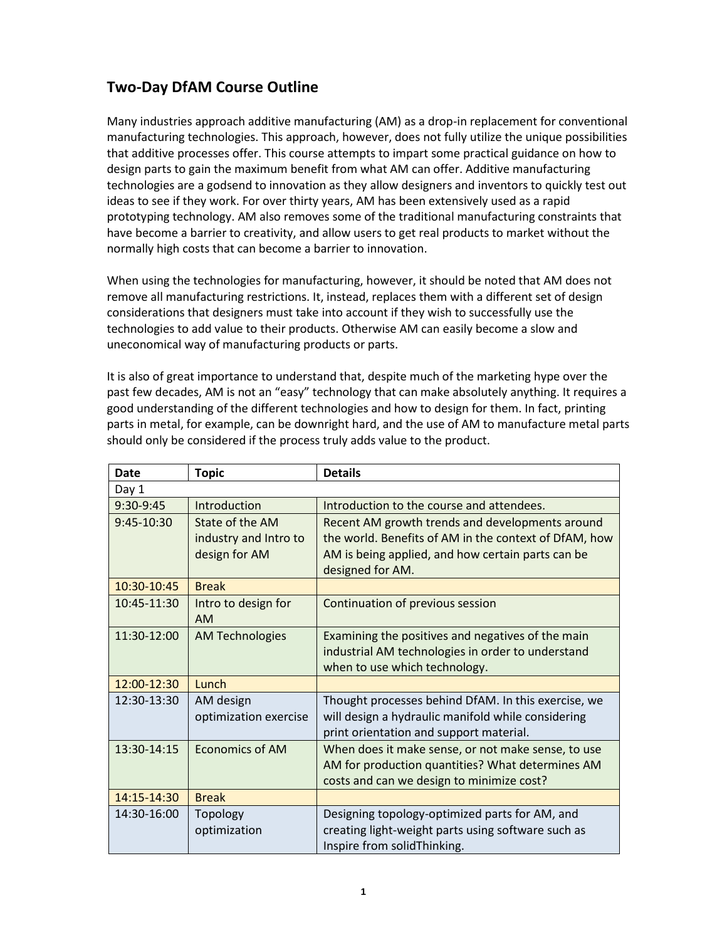## **Two-Day DfAM Course Outline**

Many industries approach additive manufacturing (AM) as a drop-in replacement for conventional manufacturing technologies. This approach, however, does not fully utilize the unique possibilities that additive processes offer. This course attempts to impart some practical guidance on how to design parts to gain the maximum benefit from what AM can offer. Additive manufacturing technologies are a godsend to innovation as they allow designers and inventors to quickly test out ideas to see if they work. For over thirty years, AM has been extensively used as a rapid prototyping technology. AM also removes some of the traditional manufacturing constraints that have become a barrier to creativity, and allow users to get real products to market without the normally high costs that can become a barrier to innovation.

When using the technologies for manufacturing, however, it should be noted that AM does not remove all manufacturing restrictions. It, instead, replaces them with a different set of design considerations that designers must take into account if they wish to successfully use the technologies to add value to their products. Otherwise AM can easily become a slow and uneconomical way of manufacturing products or parts.

It is also of great importance to understand that, despite much of the marketing hype over the past few decades, AM is not an "easy" technology that can make absolutely anything. It requires a good understanding of the different technologies and how to design for them. In fact, printing parts in metal, for example, can be downright hard, and the use of AM to manufacture metal parts should only be considered if the process truly adds value to the product.

| <b>Date</b> | <b>Topic</b>           | <b>Details</b>                                        |
|-------------|------------------------|-------------------------------------------------------|
| Day 1       |                        |                                                       |
| 9:30-9:45   | Introduction           | Introduction to the course and attendees.             |
| 9:45-10:30  | State of the AM        | Recent AM growth trends and developments around       |
|             | industry and Intro to  | the world. Benefits of AM in the context of DfAM, how |
|             | design for AM          | AM is being applied, and how certain parts can be     |
|             |                        | designed for AM.                                      |
| 10:30-10:45 | <b>Break</b>           |                                                       |
| 10:45-11:30 | Intro to design for    | Continuation of previous session                      |
|             | <b>AM</b>              |                                                       |
| 11:30-12:00 | <b>AM Technologies</b> | Examining the positives and negatives of the main     |
|             |                        | industrial AM technologies in order to understand     |
|             |                        | when to use which technology.                         |
| 12:00-12:30 | Lunch                  |                                                       |
| 12:30-13:30 | AM design              | Thought processes behind DfAM. In this exercise, we   |
|             | optimization exercise  | will design a hydraulic manifold while considering    |
|             |                        | print orientation and support material.               |
| 13:30-14:15 | <b>Economics of AM</b> | When does it make sense, or not make sense, to use    |
|             |                        | AM for production quantities? What determines AM      |
|             |                        | costs and can we design to minimize cost?             |
| 14:15-14:30 | <b>Break</b>           |                                                       |
| 14:30-16:00 | Topology               | Designing topology-optimized parts for AM, and        |
|             | optimization           | creating light-weight parts using software such as    |
|             |                        | Inspire from solidThinking.                           |